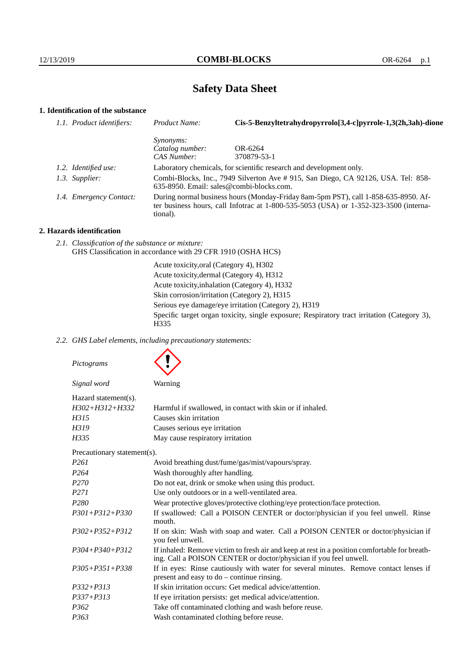# **Safety Data Sheet**

# **1. Identification of the substance**

| 1.1. Product identifiers: | Product Name:                                                                                                                                                                           | Cis-5-Benzyltetrahydropyrrolo[3,4-c]pyrrole-1,3(2h,3ah)-dione |  |
|---------------------------|-----------------------------------------------------------------------------------------------------------------------------------------------------------------------------------------|---------------------------------------------------------------|--|
|                           | <i>Synonyms:</i>                                                                                                                                                                        |                                                               |  |
|                           | Catalog number:                                                                                                                                                                         | OR-6264                                                       |  |
|                           | CAS Number:                                                                                                                                                                             | 370879-53-1                                                   |  |
| 1.2. Identified use:      | Laboratory chemicals, for scientific research and development only.                                                                                                                     |                                                               |  |
| 1.3. Supplier:            | Combi-Blocks, Inc., 7949 Silverton Ave # 915, San Diego, CA 92126, USA. Tel: 858-<br>$635-8950$ . Email: sales@combi-blocks.com.                                                        |                                                               |  |
| 1.4. Emergency Contact:   | During normal business hours (Monday-Friday 8am-5pm PST), call 1-858-635-8950. Af-<br>ter business hours, call Infotrac at 1-800-535-5053 (USA) or 1-352-323-3500 (interna-<br>tional). |                                                               |  |

## **2. Hazards identification**

*2.1. Classification of the substance or mixture:* GHS Classification in accordance with 29 CFR 1910 (OSHA HCS)

> Acute toxicity,oral (Category 4), H302 Acute toxicity,dermal (Category 4), H312 Acute toxicity,inhalation (Category 4), H332 Skin corrosion/irritation (Category 2), H315 Serious eye damage/eye irritation (Category 2), H319 Specific target organ toxicity, single exposure; Respiratory tract irritation (Category 3), H335

#### *2.2. GHS Label elements, including precautionary statements:*

*Pictograms*

 $\blacktriangle$ 

| Signal word                 | Warning                                                                                                                                                            |  |  |
|-----------------------------|--------------------------------------------------------------------------------------------------------------------------------------------------------------------|--|--|
| Hazard statement(s).        |                                                                                                                                                                    |  |  |
| $H302 + H312 + H332$        | Harmful if swallowed, in contact with skin or if inhaled.                                                                                                          |  |  |
| H315                        | Causes skin irritation                                                                                                                                             |  |  |
| H319                        | Causes serious eye irritation                                                                                                                                      |  |  |
| H335                        | May cause respiratory irritation                                                                                                                                   |  |  |
| Precautionary statement(s). |                                                                                                                                                                    |  |  |
| P <sub>261</sub>            | Avoid breathing dust/fume/gas/mist/vapours/spray.                                                                                                                  |  |  |
| P <sub>264</sub>            | Wash thoroughly after handling.                                                                                                                                    |  |  |
| P <sub>270</sub>            | Do not eat, drink or smoke when using this product.                                                                                                                |  |  |
| P <sub>271</sub>            | Use only outdoors or in a well-ventilated area.                                                                                                                    |  |  |
| P <sub>280</sub>            | Wear protective gloves/protective clothing/eye protection/face protection.                                                                                         |  |  |
| $P301 + P312 + P330$        | If swallowed: Call a POISON CENTER or doctor/physician if you feel unwell. Rinse<br>mouth.                                                                         |  |  |
| $P302 + P352 + P312$        | If on skin: Wash with soap and water. Call a POISON CENTER or doctor/physician if<br>you feel unwell.                                                              |  |  |
| $P304 + P340 + P312$        | If inhaled: Remove victim to fresh air and keep at rest in a position comfortable for breath-<br>ing. Call a POISON CENTER or doctor/physician if you feel unwell. |  |  |
| $P305 + P351 + P338$        | If in eyes: Rinse cautiously with water for several minutes. Remove contact lenses if<br>present and easy to do – continue rinsing.                                |  |  |
| $P332 + P313$               | If skin irritation occurs: Get medical advice/attention.                                                                                                           |  |  |
| $P337 + P313$               | If eye irritation persists: get medical advice/attention.                                                                                                          |  |  |
| P <sub>362</sub>            | Take off contaminated clothing and wash before reuse.                                                                                                              |  |  |

*P363* Wash contaminated clothing before reuse.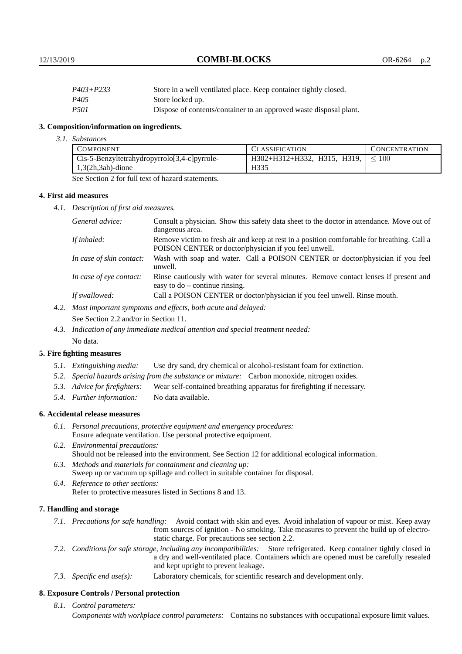12/13/2019 **COMBI-BLOCKS** OR-6264 p.2

| P403+P233        | Store in a well ventilated place. Keep container tightly closed.   |
|------------------|--------------------------------------------------------------------|
| P <sub>405</sub> | Store locked up.                                                   |
| <i>P501</i>      | Dispose of contents/container to an approved waste disposal plant. |

#### **3. Composition/information on ingredients.**

*3.1. Substances*

| <b>COMPONENT</b>                             | <b>CLASSIFICATION</b>                     | <b>CONCENTRATION</b> |
|----------------------------------------------|-------------------------------------------|----------------------|
| Cis-5-Benzyltetrahydropyrrolo[3,4-c]pyrrole- | $H302+H312+H332$ , H315, H319, $\leq 100$ |                      |
| $1,3(2h,3ah)$ -dione                         | H335                                      |                      |

See Section 2 for full text of hazard statements.

#### **4. First aid measures**

*4.1. Description of first aid measures.*

| General advice:          | Consult a physician. Show this safety data sheet to the doctor in attendance. Move out of<br>dangerous area.                                         |
|--------------------------|------------------------------------------------------------------------------------------------------------------------------------------------------|
| If inhaled:              | Remove victim to fresh air and keep at rest in a position comfortable for breathing. Call a<br>POISON CENTER or doctor/physician if you feel unwell. |
| In case of skin contact: | Wash with soap and water. Call a POISON CENTER or doctor/physician if you feel<br>unwell.                                                            |
| In case of eye contact:  | Rinse cautiously with water for several minutes. Remove contact lenses if present and<br>easy to $do$ – continue rinsing.                            |
| If swallowed:            | Call a POISON CENTER or doctor/physician if you feel unwell. Rinse mouth.                                                                            |

- *4.2. Most important symptoms and effects, both acute and delayed:* See Section 2.2 and/or in Section 11.
- *4.3. Indication of any immediate medical attention and special treatment needed:* No data.

#### **5. Fire fighting measures**

- *5.1. Extinguishing media:* Use dry sand, dry chemical or alcohol-resistant foam for extinction.
- *5.2. Special hazards arising from the substance or mixture:* Carbon monoxide, nitrogen oxides.
- *5.3. Advice for firefighters:* Wear self-contained breathing apparatus for firefighting if necessary.
- *5.4. Further information:* No data available.

## **6. Accidental release measures**

- *6.1. Personal precautions, protective equipment and emergency procedures:* Ensure adequate ventilation. Use personal protective equipment.
- *6.2. Environmental precautions:* Should not be released into the environment. See Section 12 for additional ecological information.
- *6.3. Methods and materials for containment and cleaning up:* Sweep up or vacuum up spillage and collect in suitable container for disposal.
- *6.4. Reference to other sections:* Refer to protective measures listed in Sections 8 and 13.

## **7. Handling and storage**

- *7.1. Precautions for safe handling:* Avoid contact with skin and eyes. Avoid inhalation of vapour or mist. Keep away from sources of ignition - No smoking. Take measures to prevent the build up of electrostatic charge. For precautions see section 2.2.
- *7.2. Conditions for safe storage, including any incompatibilities:* Store refrigerated. Keep container tightly closed in a dry and well-ventilated place. Containers which are opened must be carefully resealed and kept upright to prevent leakage.
- *7.3. Specific end use(s):* Laboratory chemicals, for scientific research and development only.

## **8. Exposure Controls / Personal protection**

*8.1. Control parameters:*

*Components with workplace control parameters:* Contains no substances with occupational exposure limit values.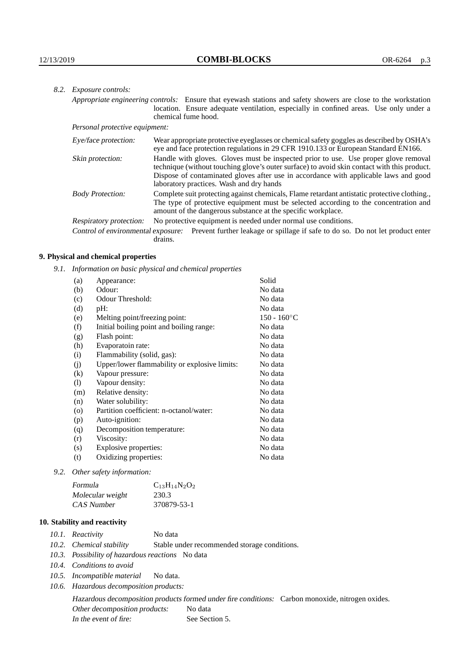| 8.2. Exposure controls:        |                                                                                                                                                                                                                                                                                                                        |  |
|--------------------------------|------------------------------------------------------------------------------------------------------------------------------------------------------------------------------------------------------------------------------------------------------------------------------------------------------------------------|--|
|                                | Appropriate engineering controls: Ensure that eyewash stations and safety showers are close to the workstation<br>location. Ensure adequate ventilation, especially in confined areas. Use only under a<br>chemical fume hood.                                                                                         |  |
| Personal protective equipment: |                                                                                                                                                                                                                                                                                                                        |  |
| Eye/face protection:           | Wear appropriate protective eyeglasses or chemical safety goggles as described by OSHA's<br>eye and face protection regulations in 29 CFR 1910.133 or European Standard EN166.                                                                                                                                         |  |
| Skin protection:               | Handle with gloves. Gloves must be inspected prior to use. Use proper glove removal<br>technique (without touching glove's outer surface) to avoid skin contact with this product.<br>Dispose of contaminated gloves after use in accordance with applicable laws and good<br>laboratory practices. Wash and dry hands |  |
| <b>Body Protection:</b>        | Complete suit protecting against chemicals, Flame retardant antistatic protective clothing.<br>The type of protective equipment must be selected according to the concentration and<br>amount of the dangerous substance at the specific workplace.                                                                    |  |
| Respiratory protection:        | No protective equipment is needed under normal use conditions.                                                                                                                                                                                                                                                         |  |
|                                | Control of environmental exposure: Prevent further leakage or spillage if safe to do so. Do not let product enter<br>drains.                                                                                                                                                                                           |  |

## **9. Physical and chemical properties**

*9.1. Information on basic physical and chemical properties*

| Appearance:                                   | Solid                |
|-----------------------------------------------|----------------------|
| Odour:                                        | No data              |
| Odour Threshold:                              | No data              |
| pH:                                           | No data              |
| Melting point/freezing point:                 | $150 - 160^{\circ}C$ |
| Initial boiling point and boiling range:      | No data              |
| Flash point:                                  | No data              |
| Evaporatoin rate:                             | No data              |
| Flammability (solid, gas):                    | No data              |
| Upper/lower flammability or explosive limits: | No data              |
| Vapour pressure:                              | No data              |
| Vapour density:                               | No data              |
| Relative density:                             | No data              |
| Water solubility:                             | No data              |
| Partition coefficient: n-octanol/water:       | No data              |
| Auto-ignition:                                | No data              |
| Decomposition temperature:                    | No data              |
| Viscosity:                                    | No data              |
| Explosive properties:                         | No data              |
| Oxidizing properties:                         | No data              |
|                                               |                      |

*9.2. Other safety information:*

| Formula          | $C_{13}H_{14}N_2O_2$ |
|------------------|----------------------|
| Molecular weight | 230.3                |
| CAS Number       | 370879-53-1          |

## **10. Stability and reactivity**

| 10.1. Reactivity<br>No data |  |
|-----------------------------|--|
|-----------------------------|--|

- *10.2. Chemical stability* Stable under recommended storage conditions.
- *10.3. Possibility of hazardous reactions* No data
- *10.4. Conditions to avoid*
- *10.5. Incompatible material* No data.
- *10.6. Hazardous decomposition products:*

Hazardous decomposition products formed under fire conditions: Carbon monoxide, nitrogen oxides. Other decomposition products: No data In the event of fire: See Section 5.